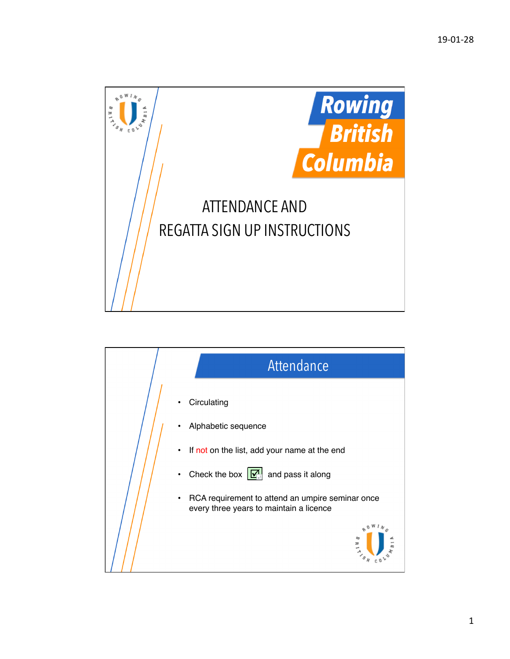

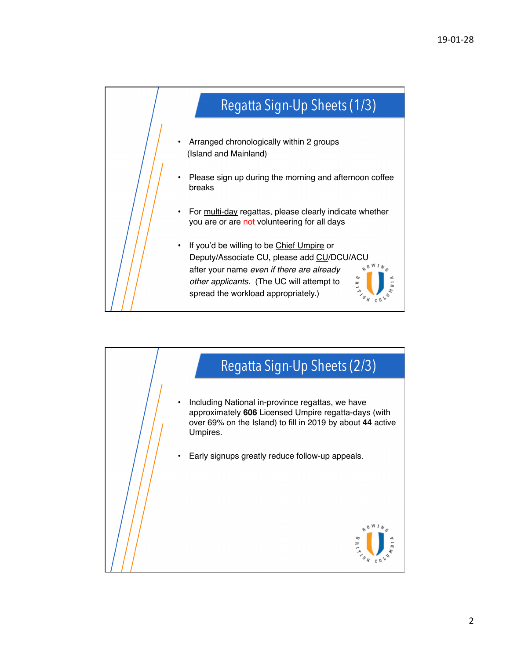